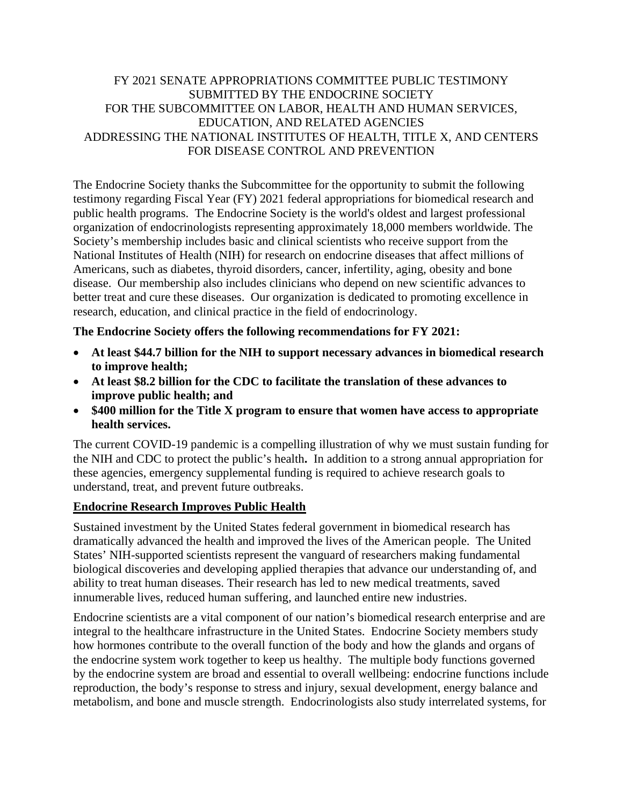## FY 2021 SENATE APPROPRIATIONS COMMITTEE PUBLIC TESTIMONY SUBMITTED BY THE ENDOCRINE SOCIETY FOR THE SUBCOMMITTEE ON LABOR, HEALTH AND HUMAN SERVICES, EDUCATION, AND RELATED AGENCIES ADDRESSING THE NATIONAL INSTITUTES OF HEALTH, TITLE X, AND CENTERS FOR DISEASE CONTROL AND PREVENTION

The Endocrine Society thanks the Subcommittee for the opportunity to submit the following testimony regarding Fiscal Year (FY) 2021 federal appropriations for biomedical research and public health programs. The Endocrine Society is the world's oldest and largest professional organization of endocrinologists representing approximately 18,000 members worldwide. The Society's membership includes basic and clinical scientists who receive support from the National Institutes of Health (NIH) for research on endocrine diseases that affect millions of Americans, such as diabetes, thyroid disorders, cancer, infertility, aging, obesity and bone disease. Our membership also includes clinicians who depend on new scientific advances to better treat and cure these diseases. Our organization is dedicated to promoting excellence in research, education, and clinical practice in the field of endocrinology.

## **The Endocrine Society offers the following recommendations for FY 2021:**

- **At least \$44.7 billion for the NIH to support necessary advances in biomedical research to improve health;**
- **At least \$8.2 billion for the CDC to facilitate the translation of these advances to improve public health; and**
- **\$400 million for the Title X program to ensure that women have access to appropriate health services.**

The current COVID-19 pandemic is a compelling illustration of why we must sustain funding for the NIH and CDC to protect the public's health**.** In addition to a strong annual appropriation for these agencies, emergency supplemental funding is required to achieve research goals to understand, treat, and prevent future outbreaks.

## **Endocrine Research Improves Public Health**

Sustained investment by the United States federal government in biomedical research has dramatically advanced the health and improved the lives of the American people. The United States' NIH-supported scientists represent the vanguard of researchers making fundamental biological discoveries and developing applied therapies that advance our understanding of, and ability to treat human diseases. Their research has led to new medical treatments, saved innumerable lives, reduced human suffering, and launched entire new industries.

Endocrine scientists are a vital component of our nation's biomedical research enterprise and are integral to the healthcare infrastructure in the United States. Endocrine Society members study how hormones contribute to the overall function of the body and how the glands and organs of the endocrine system work together to keep us healthy. The multiple body functions governed by the endocrine system are broad and essential to overall wellbeing: endocrine functions include reproduction, the body's response to stress and injury, sexual development, energy balance and metabolism, and bone and muscle strength. Endocrinologists also study interrelated systems, for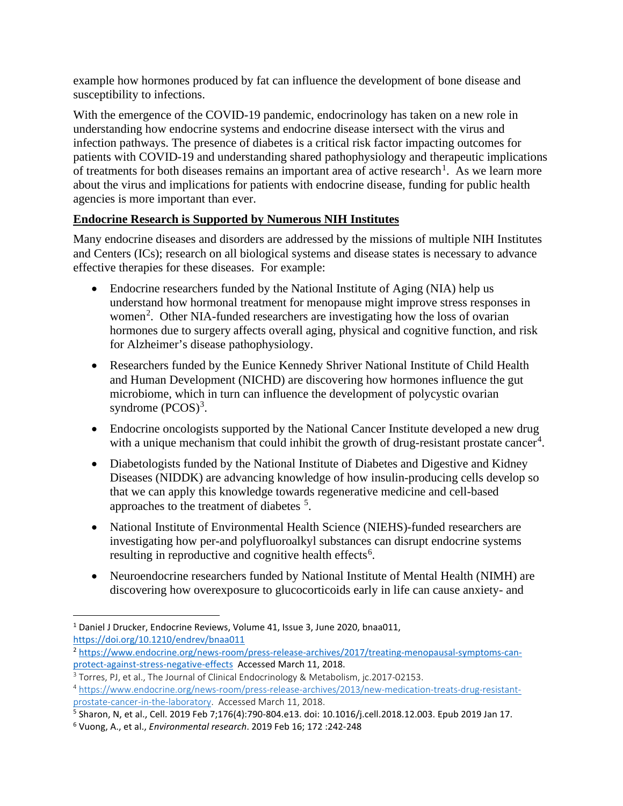example how hormones produced by fat can influence the development of bone disease and susceptibility to infections.

With the emergence of the COVID-19 pandemic, endocrinology has taken on a new role in understanding how endocrine systems and endocrine disease intersect with the virus and infection pathways. The presence of diabetes is a critical risk factor impacting outcomes for patients with COVID-19 and understanding shared pathophysiology and therapeutic implications of treatments for both diseases remains an important area of active research<sup>[1](#page-1-0)</sup>. As we learn more about the virus and implications for patients with endocrine disease, funding for public health agencies is more important than ever.

## **Endocrine Research is Supported by Numerous NIH Institutes**

Many endocrine diseases and disorders are addressed by the missions of multiple NIH Institutes and Centers (ICs); research on all biological systems and disease states is necessary to advance effective therapies for these diseases. For example:

- Endocrine researchers funded by the National Institute of Aging (NIA) help us understand how hormonal treatment for menopause might improve stress responses in women<sup>[2](#page-1-1)</sup>. Other NIA-funded researchers are investigating how the loss of ovarian hormones due to surgery affects overall aging, physical and cognitive function, and risk for Alzheimer's disease pathophysiology.
- Researchers funded by the Eunice Kennedy Shriver National Institute of Child Health and Human Development (NICHD) are discovering how hormones influence the gut microbiome, which in turn can influence the development of polycystic ovarian syndrome  $(PCOS)^3$  $(PCOS)^3$ .
- Endocrine oncologists supported by the National Cancer Institute developed a new drug with a unique mechanism that could inhibit the growth of drug-resistant prostate cancer<sup>[4](#page-1-3)</sup>.
- Diabetologists funded by the National Institute of Diabetes and Digestive and Kidney Diseases (NIDDK) are advancing knowledge of how insulin-producing cells develop so that we can apply this knowledge towards regenerative medicine and cell-based approaches to the treatment of diabetes <sup>[5](#page-1-4)</sup>.
- National Institute of Environmental Health Science (NIEHS)-funded researchers are investigating how per-and polyfluoroalkyl substances can disrupt endocrine systems resulting in reproductive and cognitive health effects<sup>[6](#page-1-5)</sup>.
- Neuroendocrine researchers funded by National Institute of Mental Health (NIMH) are discovering how overexposure to glucocorticoids early in life can cause anxiety- and

<span id="page-1-0"></span><sup>&</sup>lt;sup>1</sup> Daniel J Drucker, Endocrine Reviews, Volume 41, Issue 3, June 2020, bnaa011, <https://doi.org/10.1210/endrev/bnaa011>

<span id="page-1-1"></span><sup>2</sup> [https://www.endocrine.org/news-room/press-release-archives/2017/treating-menopausal-symptoms-can](https://www.endocrine.org/news-room/press-release-archives/2017/treating-menopausal-symptoms-can-protect-against-stress-negative-effects)[protect-against-stress-negative-effects](https://www.endocrine.org/news-room/press-release-archives/2017/treating-menopausal-symptoms-can-protect-against-stress-negative-effects) Accessed March 11, 2018.

<span id="page-1-2"></span><sup>&</sup>lt;sup>3</sup> Torres, PJ, et al., The Journal of Clinical Endocrinology & Metabolism, jc.2017-02153.

<span id="page-1-3"></span><sup>4</sup> [https://www.endocrine.org/news-room/press-release-archives/2013/new-medication-treats-drug-resistant](https://www.endocrine.org/news-room/press-release-archives/2013/new-medication-treats-drug-resistant-prostate-cancer-in-the-laboratory)[prostate-cancer-in-the-laboratory.](https://www.endocrine.org/news-room/press-release-archives/2013/new-medication-treats-drug-resistant-prostate-cancer-in-the-laboratory) Accessed March 11, 2018.

<span id="page-1-4"></span><sup>5</sup> Sharon, N, et al., Cell. 2019 Feb 7;176(4):790-804.e13. doi: 10.1016/j.cell.2018.12.003. Epub 2019 Jan 17.

<span id="page-1-5"></span><sup>6</sup> Vuong, A., et al., *Environmental research*. 2019 Feb 16; 172 :242-248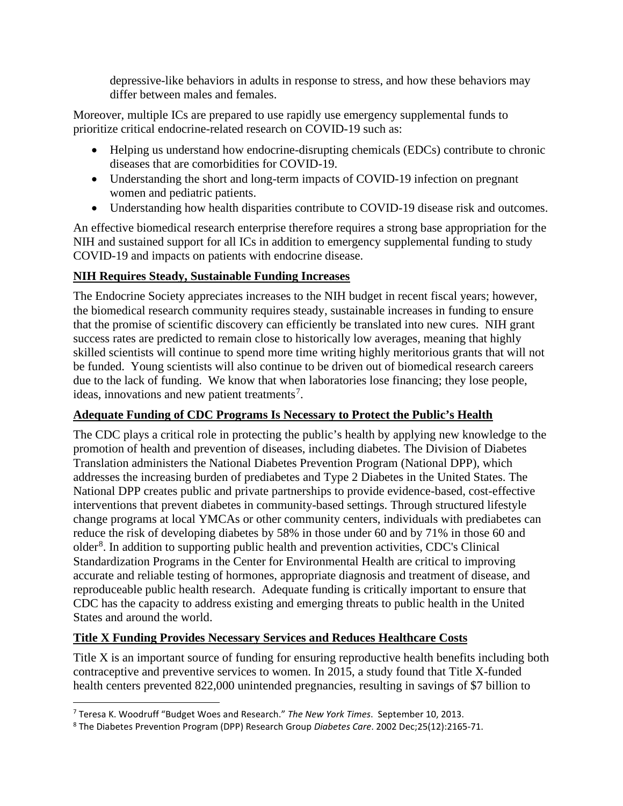depressive-like behaviors in adults in response to stress, and how these behaviors may differ between males and females.

Moreover, multiple ICs are prepared to use rapidly use emergency supplemental funds to prioritize critical endocrine-related research on COVID-19 such as:

- Helping us understand how endocrine-disrupting chemicals (EDCs) contribute to chronic diseases that are comorbidities for COVID-19.
- Understanding the short and long-term impacts of COVID-19 infection on pregnant women and pediatric patients.
- Understanding how health disparities contribute to COVID-19 disease risk and outcomes.

An effective biomedical research enterprise therefore requires a strong base appropriation for the NIH and sustained support for all ICs in addition to emergency supplemental funding to study COVID-19 and impacts on patients with endocrine disease.

## **NIH Requires Steady, Sustainable Funding Increases**

The Endocrine Society appreciates increases to the NIH budget in recent fiscal years; however, the biomedical research community requires steady, sustainable increases in funding to ensure that the promise of scientific discovery can efficiently be translated into new cures. NIH grant success rates are predicted to remain close to historically low averages, meaning that highly skilled scientists will continue to spend more time writing highly meritorious grants that will not be funded. Young scientists will also continue to be driven out of biomedical research careers due to the lack of funding. We know that when laboratories lose financing; they lose people, ideas, innovations and new patient treatments<sup>[7](#page-2-0)</sup>.

## **Adequate Funding of CDC Programs Is Necessary to Protect the Public's Health**

The CDC plays a critical role in protecting the public's health by applying new knowledge to the promotion of health and prevention of diseases, including diabetes. The Division of Diabetes Translation administers the National Diabetes Prevention Program (National DPP), which addresses the increasing burden of prediabetes and Type 2 Diabetes in the United States. The National DPP creates public and private partnerships to provide evidence-based, cost-effective interventions that prevent diabetes in community-based settings. Through structured lifestyle change programs at local YMCAs or other community centers, individuals with prediabetes can reduce the risk of developing diabetes by 58% in those under 60 and by 71% in those 60 and older<sup>[8](#page-2-1)</sup>. In addition to supporting public health and prevention activities, CDC's Clinical Standardization Programs in the Center for Environmental Health are critical to improving accurate and reliable testing of hormones, appropriate diagnosis and treatment of disease, and reproduceable public health research. Adequate funding is critically important to ensure that CDC has the capacity to address existing and emerging threats to public health in the United States and around the world.

## **Title X Funding Provides Necessary Services and Reduces Healthcare Costs**

Title X is an important source of funding for ensuring reproductive health benefits including both contraceptive and preventive services to women. In 2015, a study found that Title X-funded health centers prevented 822,000 unintended pregnancies, resulting in savings of \$7 billion to

<span id="page-2-0"></span><sup>7</sup> Teresa K. Woodruff "Budget Woes and Research." *The New York Times*. September 10, 2013.

<span id="page-2-1"></span><sup>8</sup> The Diabetes Prevention Program (DPP) Research Group *Diabetes Care*. 2002 Dec;25(12):2165-71.